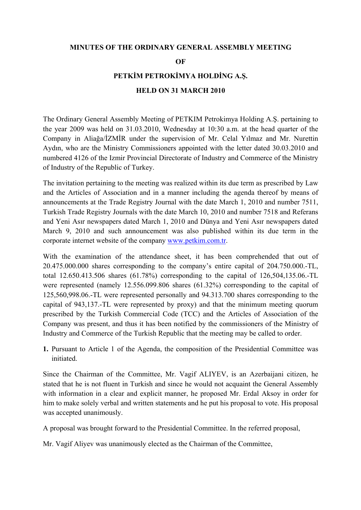### **MINUTES OF THE ORDINARY GENERAL ASSEMBLY MEETING**

**OF** 

## **PETKİM PETROKİMYA HOLDİNG A.Ş.**

## **HELD ON 31 MARCH 2010**

The Ordinary General Assembly Meeting of PETKIM Petrokimya Holding A.Ş. pertaining to the year 2009 was held on 31.03.2010, Wednesday at 10:30 a.m. at the head quarter of the Company in Aliağa/İZMİR under the supervision of Mr. Celal Yılmaz and Mr. Nurettin Aydın, who are the Ministry Commissioners appointed with the letter dated 30.03.2010 and numbered 4126 of the Izmir Provincial Directorate of Industry and Commerce of the Ministry of Industry of the Republic of Turkey.

The invitation pertaining to the meeting was realized within its due term as prescribed by Law and the Articles of Association and in a manner including the agenda thereof by means of announcements at the Trade Registry Journal with the date March 1, 2010 and number 7511, Turkish Trade Registry Journals with the date March 10, 2010 and number 7518 and Referans and Yeni Asır newspapers dated March 1, 2010 and Dünya and Yeni Asır newspapers dated March 9, 2010 and such announcement was also published within its due term in the corporate internet website of the company [www.petkim.com.tr](http://www.petkim.com.tr/).

With the examination of the attendance sheet, it has been comprehended that out of 20.475.000.000 shares corresponding to the company's entire capital of 204.750.000.-TL, total 12.650.413.506 shares (61.78%) corresponding to the capital of 126,504,135.06.-TL were represented (namely 12.556.099.806 shares (61.32%) corresponding to the capital of 125,560,998.06.-TL were represented personally and 94.313.700 shares corresponding to the capital of 943,137.-TL were represented by proxy) and that the minimum meeting quorum prescribed by the Turkish Commercial Code (TCC) and the Articles of Association of the Company was present, and thus it has been notified by the commissioners of the Ministry of Industry and Commerce of the Turkish Republic that the meeting may be called to order.

**1.** Pursuant to Article 1 of the Agenda, the composition of the Presidential Committee was initiated.

Since the Chairman of the Committee, Mr. Vagif ALIYEV, is an Azerbaijani citizen, he stated that he is not fluent in Turkish and since he would not acquaint the General Assembly with information in a clear and explicit manner, he proposed Mr. Erdal Aksoy in order for him to make solely verbal and written statements and he put his proposal to vote. His proposal was accepted unanimously.

A proposal was brought forward to the Presidential Committee. In the referred proposal,

Mr. Vagif Aliyev was unanimously elected as the Chairman of the Committee,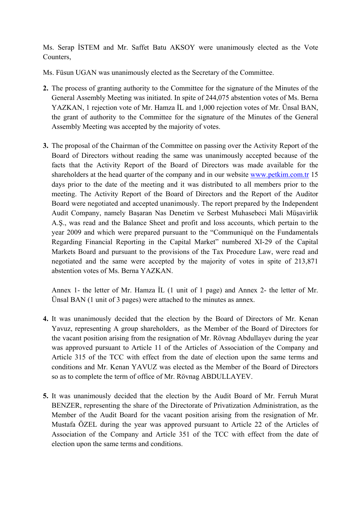Ms. Serap İSTEM and Mr. Saffet Batu AKSOY were unanimously elected as the Vote Counters,

Ms. Füsun UGAN was unanimously elected as the Secretary of the Committee.

- **2.** The process of granting authority to the Committee for the signature of the Minutes of the General Assembly Meeting was initiated. In spite of 244,075 abstention votes of Ms. Berna YAZKAN, 1 rejection vote of Mr. Hamza İL and 1,000 rejection votes of Mr. Ünsal BAN, the grant of authority to the Committee for the signature of the Minutes of the General Assembly Meeting was accepted by the majority of votes.
- **3.** The proposal of the Chairman of the Committee on passing over the Activity Report of the Board of Directors without reading the same was unanimously accepted because of the facts that the Activity Report of the Board of Directors was made available for the shareholders at the head quarter of the company and in our website [www.petkim.com.tr](http://www.petkim.com.tr/) 15 days prior to the date of the meeting and it was distributed to all members prior to the meeting. The Activity Report of the Board of Directors and the Report of the Auditor Board were negotiated and accepted unanimously. The report prepared by the Independent Audit Company, namely Başaran Nas Denetim ve Serbest Muhasebeci Mali Müşavirlik A.Ş., was read and the Balance Sheet and profit and loss accounts, which pertain to the year 2009 and which were prepared pursuant to the "Communiqué on the Fundamentals Regarding Financial Reporting in the Capital Market" numbered XI-29 of the Capital Markets Board and pursuant to the provisions of the Tax Procedure Law, were read and negotiated and the same were accepted by the majority of votes in spite of 213,871 abstention votes of Ms. Berna YAZKAN.

Annex 1- the letter of Mr. Hamza İL (1 unit of 1 page) and Annex 2- the letter of Mr. Ünsal BAN (1 unit of 3 pages) were attached to the minutes as annex.

- **4.** It was unanimously decided that the election by the Board of Directors of Mr. Kenan Yavuz, representing A group shareholders, as the Member of the Board of Directors for the vacant position arising from the resignation of Mr. Rövnag Abdullayev during the year was approved pursuant to Article 11 of the Articles of Association of the Company and Article 315 of the TCC with effect from the date of election upon the same terms and conditions and Mr. Kenan YAVUZ was elected as the Member of the Board of Directors so as to complete the term of office of Mr. Rövnag ABDULLAYEV.
- **5.** It was unanimously decided that the election by the Audit Board of Mr. Ferruh Murat BENZER, representing the share of the Directorate of Privatization Administration, as the Member of the Audit Board for the vacant position arising from the resignation of Mr. Mustafa ÖZEL during the year was approved pursuant to Article 22 of the Articles of Association of the Company and Article 351 of the TCC with effect from the date of election upon the same terms and conditions.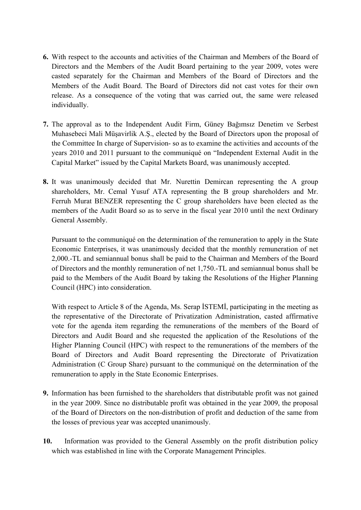- **6.** With respect to the accounts and activities of the Chairman and Members of the Board of Directors and the Members of the Audit Board pertaining to the year 2009, votes were casted separately for the Chairman and Members of the Board of Directors and the Members of the Audit Board. The Board of Directors did not cast votes for their own release. As a consequence of the voting that was carried out, the same were released individually.
- **7.** The approval as to the Independent Audit Firm, Güney Bağımsız Denetim ve Serbest Muhasebeci Mali Müşavirlik A.Ş., elected by the Board of Directors upon the proposal of the Committee In charge of Supervision- so as to examine the activities and accounts of the years 2010 and 2011 pursuant to the communiqué on "Independent External Audit in the Capital Market" issued by the Capital Markets Board, was unanimously accepted.
- **8.** It was unanimously decided that Mr. Nurettin Demircan representing the A group shareholders, Mr. Cemal Yusuf ATA representing the B group shareholders and Mr. Ferruh Murat BENZER representing the C group shareholders have been elected as the members of the Audit Board so as to serve in the fiscal year 2010 until the next Ordinary General Assembly.

Pursuant to the communiqué on the determination of the remuneration to apply in the State Economic Enterprises, it was unanimously decided that the monthly remuneration of net 2,000.-TL and semiannual bonus shall be paid to the Chairman and Members of the Board of Directors and the monthly remuneration of net 1,750.-TL and semiannual bonus shall be paid to the Members of the Audit Board by taking the Resolutions of the Higher Planning Council (HPC) into consideration.

With respect to Article 8 of the Agenda, Ms. Serap İSTEMİ, participating in the meeting as the representative of the Directorate of Privatization Administration, casted affirmative vote for the agenda item regarding the remunerations of the members of the Board of Directors and Audit Board and she requested the application of the Resolutions of the Higher Planning Council (HPC) with respect to the remunerations of the members of the Board of Directors and Audit Board representing the Directorate of Privatization Administration (C Group Share) pursuant to the communiqué on the determination of the remuneration to apply in the State Economic Enterprises.

- **9.** Information has been furnished to the shareholders that distributable profit was not gained in the year 2009. Since no distributable profit was obtained in the year 2009, the proposal of the Board of Directors on the non-distribution of profit and deduction of the same from the losses of previous year was accepted unanimously.
- **10.** Information was provided to the General Assembly on the profit distribution policy which was established in line with the Corporate Management Principles.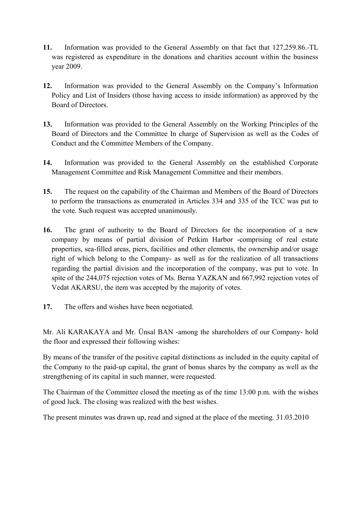- **11.** Information was provided to the General Assembly on that fact that 127,259.86.-TL was registered as expenditure in the donations and charities account within the business year 2009.
- **12.** Information was provided to the General Assembly on the Company's Information Policy and List of Insiders (those having access to inside information) as approved by the Board of Directors.
- **13.** Information was provided to the General Assembly on the Working Principles of the Board of Directors and the Committee In charge of Supervision as well as the Codes of Conduct and the Committee Members of the Company.
- **14.** Information was provided to the General Assembly on the established Corporate Management Committee and Risk Management Committee and their members.
- **15.** The request on the capability of the Chairman and Members of the Board of Directors to perform the transactions as enumerated in Articles 334 and 335 of the TCC was put to the vote. Such request was accepted unanimously.
- **16.** The grant of authority to the Board of Directors for the incorporation of a new company by means of partial division of Petkim Harbor -comprising of real estate properties, sea-filled areas, piers, facilities and other elements, the ownership and/or usage right of which belong to the Company- as well as for the realization of all transactions regarding the partial division and the incorporation of the company, was put to vote. In spite of the 244,075 rejection votes of Ms. Berna YAZKAN and 667,992 rejection votes of Vedat AKARSU, the item was accepted by the majority of votes.
- **17.** The offers and wishes have been negotiated.

Mr. Ali KARAKAYA and Mr. Ünsal BAN -among the shareholders of our Company- hold the floor and expressed their following wishes:

By means of the transfer of the positive capital distinctions as included in the equity capital of the Company to the paid-up capital, the grant of bonus shares by the company as well as the strengthening of its capital in such manner, were requested.

The Chairman of the Committee closed the meeting as of the time 13:00 p.m. with the wishes of good luck. The closing was realized with the best wishes.

The present minutes was drawn up, read and signed at the place of the meeting. 31.03.2010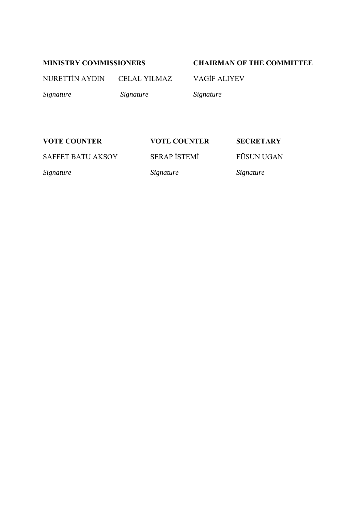# **MINISTRY COMMISSIONERS CHAIRMAN OF THE COMMITTEE**

NURETTİN AYDIN CELAL YILMAZ VAGİF ALIYEV

*Signature Signature Signature* 

# **VOTE COUNTER VOTE COUNTER SECRETARY**

SAFFET BATU AKSOY SERAP İSTEMİ FÜSUN UGAN

*Signature Signature Signature*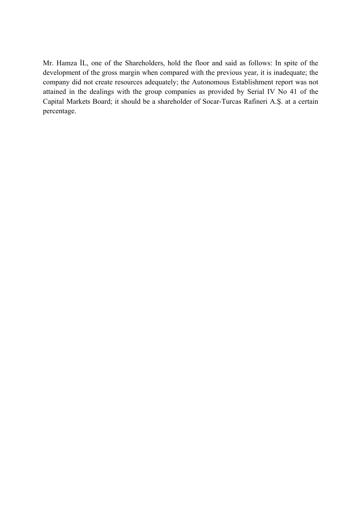Mr. Hamza İL, one of the Shareholders, hold the floor and said as follows: In spite of the development of the gross margin when compared with the previous year, it is inadequate; the company did not create resources adequately; the Autonomous Establishment report was not attained in the dealings with the group companies as provided by Serial IV No 41 of the Capital Markets Board; it should be a shareholder of Socar-Turcas Rafineri A.Ş. at a certain percentage.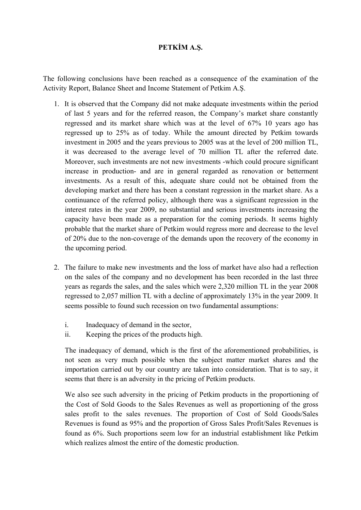# **PETKİM A.Ş.**

The following conclusions have been reached as a consequence of the examination of the Activity Report, Balance Sheet and Income Statement of Petkim A.Ş.

- 1. It is observed that the Company did not make adequate investments within the period of last 5 years and for the referred reason, the Company's market share constantly regressed and its market share which was at the level of 67% 10 years ago has regressed up to 25% as of today. While the amount directed by Petkim towards investment in 2005 and the years previous to 2005 was at the level of 200 million TL, it was decreased to the average level of 70 million TL after the referred date. Moreover, such investments are not new investments -which could procure significant increase in production- and are in general regarded as renovation or betterment investments. As a result of this, adequate share could not be obtained from the developing market and there has been a constant regression in the market share. As a continuance of the referred policy, although there was a significant regression in the interest rates in the year 2009, no substantial and serious investments increasing the capacity have been made as a preparation for the coming periods. It seems highly probable that the market share of Petkim would regress more and decrease to the level of 20% due to the non-coverage of the demands upon the recovery of the economy in the upcoming period.
- 2. The failure to make new investments and the loss of market have also had a reflection on the sales of the company and no development has been recorded in the last three years as regards the sales, and the sales which were 2,320 million TL in the year 2008 regressed to 2,057 million TL with a decline of approximately 13% in the year 2009. It seems possible to found such recession on two fundamental assumptions:
	- i. Inadequacy of demand in the sector,
	- ii. Keeping the prices of the products high.

The inadequacy of demand, which is the first of the aforementioned probabilities, is not seen as very much possible when the subject matter market shares and the importation carried out by our country are taken into consideration. That is to say, it seems that there is an adversity in the pricing of Petkim products.

We also see such adversity in the pricing of Petkim products in the proportioning of the Cost of Sold Goods to the Sales Revenues as well as proportioning of the gross sales profit to the sales revenues. The proportion of Cost of Sold Goods/Sales Revenues is found as 95% and the proportion of Gross Sales Profit/Sales Revenues is found as 6%. Such proportions seem low for an industrial establishment like Petkim which realizes almost the entire of the domestic production.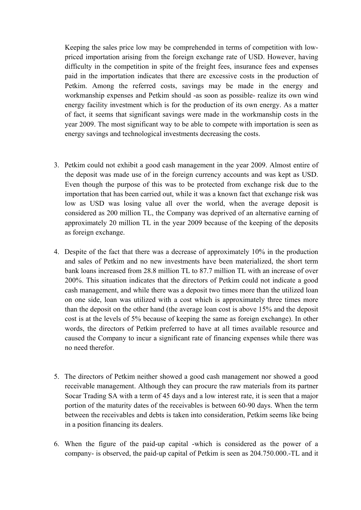Keeping the sales price low may be comprehended in terms of competition with lowpriced importation arising from the foreign exchange rate of USD. However, having difficulty in the competition in spite of the freight fees, insurance fees and expenses paid in the importation indicates that there are excessive costs in the production of Petkim. Among the referred costs, savings may be made in the energy and workmanship expenses and Petkim should -as soon as possible- realize its own wind energy facility investment which is for the production of its own energy. As a matter of fact, it seems that significant savings were made in the workmanship costs in the year 2009. The most significant way to be able to compete with importation is seen as energy savings and technological investments decreasing the costs.

- 3. Petkim could not exhibit a good cash management in the year 2009. Almost entire of the deposit was made use of in the foreign currency accounts and was kept as USD. Even though the purpose of this was to be protected from exchange risk due to the importation that has been carried out, while it was a known fact that exchange risk was low as USD was losing value all over the world, when the average deposit is considered as 200 million TL, the Company was deprived of an alternative earning of approximately 20 million TL in the year 2009 because of the keeping of the deposits as foreign exchange.
- 4. Despite of the fact that there was a decrease of approximately 10% in the production and sales of Petkim and no new investments have been materialized, the short term bank loans increased from 28.8 million TL to 87.7 million TL with an increase of over 200%. This situation indicates that the directors of Petkim could not indicate a good cash management, and while there was a deposit two times more than the utilized loan on one side, loan was utilized with a cost which is approximately three times more than the deposit on the other hand (the average loan cost is above 15% and the deposit cost is at the levels of 5% because of keeping the same as foreign exchange). In other words, the directors of Petkim preferred to have at all times available resource and caused the Company to incur a significant rate of financing expenses while there was no need therefor.
- 5. The directors of Petkim neither showed a good cash management nor showed a good receivable management. Although they can procure the raw materials from its partner Socar Trading SA with a term of 45 days and a low interest rate, it is seen that a major portion of the maturity dates of the receivables is between 60-90 days. When the term between the receivables and debts is taken into consideration, Petkim seems like being in a position financing its dealers.
- 6. When the figure of the paid-up capital -which is considered as the power of a company- is observed, the paid-up capital of Petkim is seen as 204.750.000.-TL and it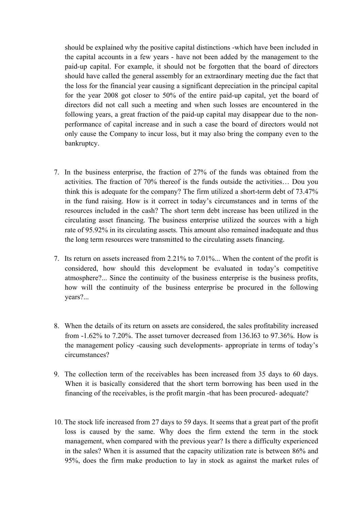should be explained why the positive capital distinctions -which have been included in the capital accounts in a few years - have not been added by the management to the paid-up capital. For example, it should not be forgotten that the board of directors should have called the general assembly for an extraordinary meeting due the fact that the loss for the financial year causing a significant depreciation in the principal capital for the year 2008 got closer to 50% of the entire paid-up capital, yet the board of directors did not call such a meeting and when such losses are encountered in the following years, a great fraction of the paid-up capital may disappear due to the nonperformance of capital increase and in such a case the board of directors would not only cause the Company to incur loss, but it may also bring the company even to the bankruptcy.

- 7. In the business enterprise, the fraction of 27% of the funds was obtained from the activities. The fraction of 70% thereof is the funds outside the activities… Dou you think this is adequate for the company? The firm utilized a short-term debt of 73.47% in the fund raising. How is it correct in today's circumstances and in terms of the resources included in the cash? The short term debt increase has been utilized in the circulating asset financing. The business enterprise utilized the sources with a high rate of 95.92% in its circulating assets. This amount also remained inadequate and thus the long term resources were transmitted to the circulating assets financing.
- 7. Its return on assets increased from 2.21% to 7.01%... When the content of the profit is considered, how should this development be evaluated in today's competitive atmosphere?... Since the continuity of the business enterprise is the business profits, how will the continuity of the business enterprise be procured in the following years?...
- 8. When the details of its return on assets are considered, the sales profitability increased from -1.62% to 7.20%. The asset turnover decreased from 136.l63 to 97.36%. How is the management policy -causing such developments- appropriate in terms of today's circumstances?
- 9. The collection term of the receivables has been increased from 35 days to 60 days. When it is basically considered that the short term borrowing has been used in the financing of the receivables, is the profit margin -that has been procured- adequate?
- 10. The stock life increased from 27 days to 59 days. It seems that a great part of the profit loss is caused by the same. Why does the firm extend the term in the stock management, when compared with the previous year? Is there a difficulty experienced in the sales? When it is assumed that the capacity utilization rate is between 86% and 95%, does the firm make production to lay in stock as against the market rules of